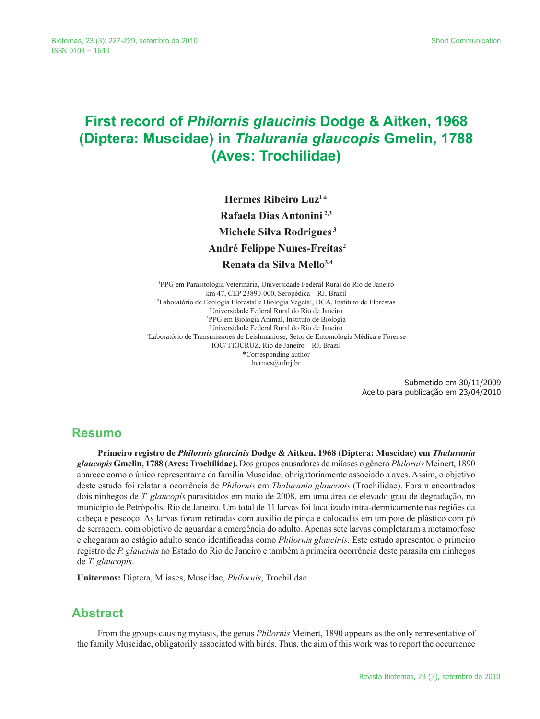# **First record of** *Philornis glaucinis* **Dodge & Aitken, 1968 (Diptera: Muscidae) in** *Thalurania glaucopis* **Gmelin, 1788 (Aves: Trochilidae)**

**Hermes Ribeiro Luz1 \* Rafaela Dias Antonini 2,3 Michele Silva Rodrigues 3 André Felippe Nunes-Freitas2 Renata da Silva Mello3,4**

1 PPG em Parasitologia Veterinária, Universidade Federal Rural do Rio de Janeiro km 47, CEP 23890-000, Seropédica – RJ, Brazil 2 Laboratório de Ecologia Florestal e Biologia Vegetal, DCA, Instituto de Florestas Universidade Federal Rural do Rio de Janeiro 3 PPG em Biologia Animal, Instituto de Biologia Universidade Federal Rural do Rio de Janeiro 4 Laboratório de Transmissores de Leishmaniose, Setor de Entomologia Médica e Forense IOC/ FIOCRUZ, Rio de Janeiro – RJ, Brazil \*Corresponding author hermes@ufrrj.br

> Submetido em 30/11/2009 Aceito para publicação em 23/04/2010

#### **Resumo**

**Primeiro registro de** *Philornis glaucinis* **Dodge & Aitken, 1968 (Diptera: Muscidae) em** *Thalurania glaucopis* **Gmelin, 1788 (Aves: Trochilidae).** Dos grupos causadores de miíases o gênero *Philornis* Meinert, 1890 aparece como o único representante da família Muscidae, obrigatoriamente associado a aves. Assim, o objetivo deste estudo foi relatar a ocorrência de *Philornis* em *Thalurania glaucopis* (Trochilidae). Foram encontrados dois ninhegos de *T. glaucopis* parasitados em maio de 2008, em uma área de elevado grau de degradação, no município de Petrópolis, Rio de Janeiro. Um total de 11 larvas foi localizado intra-dermicamente nas regiões da cabeça e pescoço. As larvas foram retiradas com auxílio de pinça e colocadas em um pote de plástico com pó de serragem, com objetivo de aguardar a emergência do adulto. Apenas sete larvas completaram a metamorfose e chegaram ao estágio adulto sendo identificadas como *Philornis glaucinis*. Este estudo apresentou o primeiro registro de *P. glaucinis* no Estado do Rio de Janeiro e também a primeira ocorrência deste parasita em ninhegos de *T. glaucopis*.

**Unitermos:** Diptera, Miíases, Muscidae, *Philornis*, Trochilidae

### **Abstract**

From the groups causing myiasis, the genus *Philornis* Meinert, 1890 appears as the only representative of the family Muscidae, obligatorily associated with birds. Thus, the aim of this work was to report the occurrence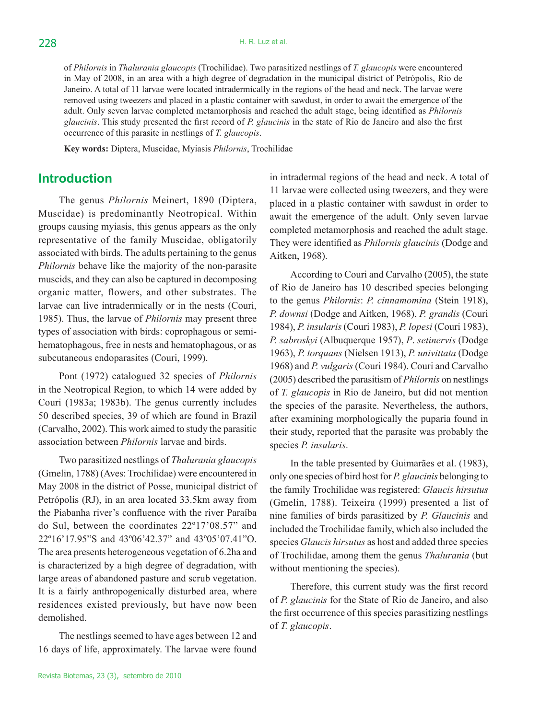of *Philornis* in *Thalurania glaucopis* (Trochilidae). Two parasitized nestlings of *T. glaucopis* were encountered in May of 2008, in an area with a high degree of degradation in the municipal district of Petrópolis, Rio de Janeiro. A total of 11 larvae were located intradermically in the regions of the head and neck. The larvae were removed using tweezers and placed in a plastic container with sawdust, in order to await the emergence of the adult. Only seven larvae completed metamorphosis and reached the adult stage, being identified as *Philornis glaucinis*. This study presented the first record of *P. glaucinis* in the state of Rio de Janeiro and also the first occurrence of this parasite in nestlings of *T. glaucopis*.

**Key words:** Diptera, Muscidae, Myiasis *Philornis*, Trochilidae

## **Introduction**

The genus *Philornis* Meinert, 1890 (Diptera, Muscidae) is predominantly Neotropical. Within groups causing myiasis, this genus appears as the only representative of the family Muscidae, obligatorily associated with birds. The adults pertaining to the genus *Philornis* behave like the majority of the non-parasite muscids, and they can also be captured in decomposing organic matter, flowers, and other substrates. The larvae can live intradermically or in the nests (Couri, 1985). Thus, the larvae of *Philornis* may present three types of association with birds: coprophagous or semihematophagous, free in nests and hematophagous, or as subcutaneous endoparasites (Couri, 1999).

Pont (1972) catalogued 32 species of *Philornis* in the Neotropical Region, to which 14 were added by Couri (1983a; 1983b). The genus currently includes 50 described species, 39 of which are found in Brazil (Carvalho, 2002). This work aimed to study the parasitic association between *Philornis* larvae and birds.

Two parasitized nestlings of *Thalurania glaucopis* (Gmelin, 1788) (Aves: Trochilidae) were encountered in May 2008 in the district of Posse, municipal district of Petrópolis (RJ), in an area located 33.5km away from the Piabanha river's confluence with the river Paraíba do Sul, between the coordinates 22º17'08.57" and 22º16'17.95"S and 43º06'42.37" and 43º05'07.41"O. The area presents heterogeneous vegetation of 6.2ha and is characterized by a high degree of degradation, with large areas of abandoned pasture and scrub vegetation. It is a fairly anthropogenically disturbed area, where residences existed previously, but have now been demolished.

The nestlings seemed to have ages between 12 and 16 days of life, approximately. The larvae were found in intradermal regions of the head and neck. A total of 11 larvae were collected using tweezers, and they were placed in a plastic container with sawdust in order to await the emergence of the adult. Only seven larvae completed metamorphosis and reached the adult stage. They were identified as *Philornis glaucinis* (Dodge and Aitken, 1968).

According to Couri and Carvalho (2005), the state of Rio de Janeiro has 10 described species belonging to the genus *Philornis*: *P. cinnamomina* (Stein 1918), *P. downsi* (Dodge and Aitken, 1968), *P. grandis* (Couri 1984), *P. insularis* (Couri 1983), *P. lopesi* (Couri 1983), *P. sabroskyi* (Albuquerque 1957), *P*. *setinervis* (Dodge 1963), *P. torquans* (Nielsen 1913), *P. univittata* (Dodge 1968) and *P. vulgaris* (Couri 1984). Couri and Carvalho (2005) described the parasitism of *Philornis* on nestlings of *T. glaucopis* in Rio de Janeiro, but did not mention the species of the parasite. Nevertheless, the authors, after examining morphologically the puparia found in their study, reported that the parasite was probably the species *P. insularis*.

In the table presented by Guimarães et al. (1983), only one species of bird host for *P. glaucinis* belonging to the family Trochilidae was registered: *Glaucis hirsutus* (Gmelin, 1788). Teixeira (1999) presented a list of nine families of birds parasitized by *P. Glaucinis* and included the Trochilidae family, which also included the species *Glaucis hirsutus* as host and added three species of Trochilidae, among them the genus *Thalurania* (but without mentioning the species).

Therefore, this current study was the first record of *P. glaucinis* for the State of Rio de Janeiro, and also the first occurrence of this species parasitizing nestlings of *T. glaucopis*.